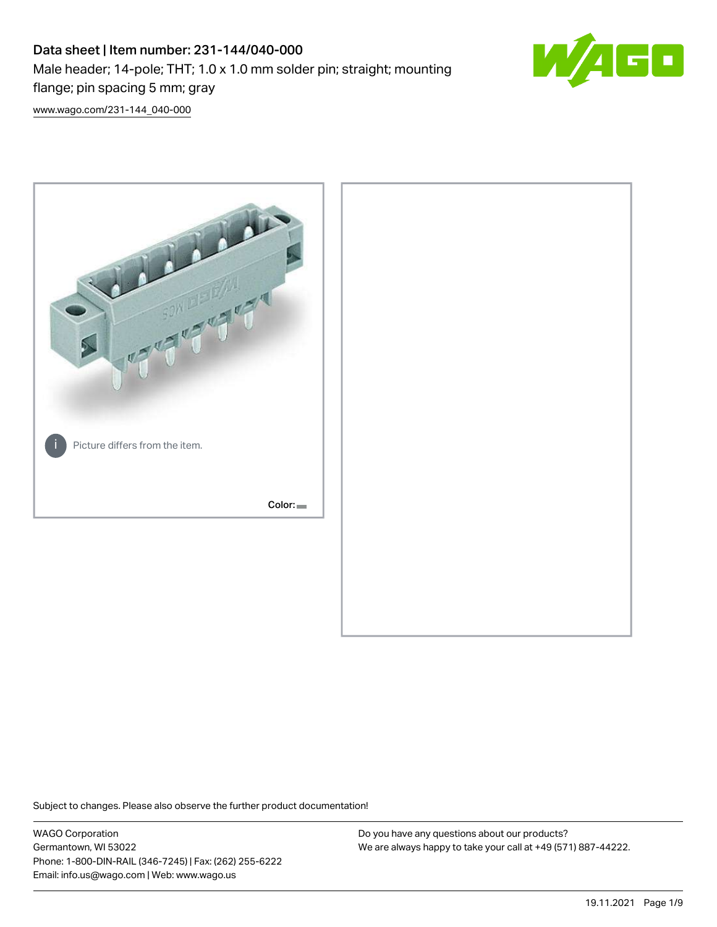# Data sheet | Item number: 231-144/040-000 Male header; 14-pole; THT; 1.0 x 1.0 mm solder pin; straight; mounting flange; pin spacing 5 mm; gray



[www.wago.com/231-144\\_040-000](http://www.wago.com/231-144_040-000)



Subject to changes. Please also observe the further product documentation!

WAGO Corporation Germantown, WI 53022 Phone: 1-800-DIN-RAIL (346-7245) | Fax: (262) 255-6222 Email: info.us@wago.com | Web: www.wago.us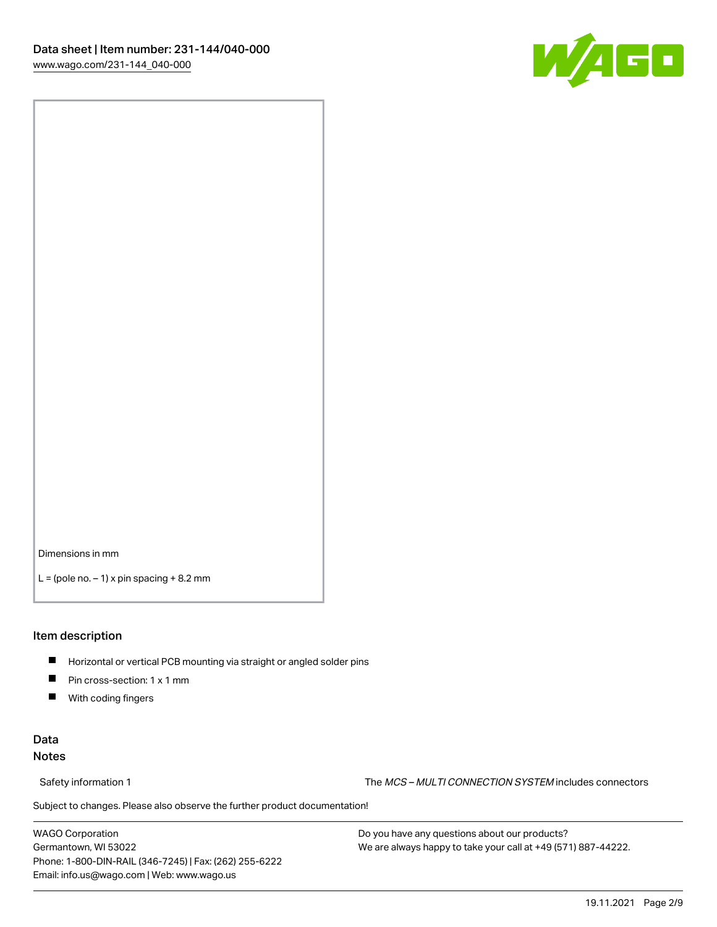

Dimensions in mm

 $L =$  (pole no.  $-1$ ) x pin spacing  $+8.2$  mm

#### Item description

- **Horizontal or vertical PCB mounting via straight or angled solder pins**
- **Pin cross-section: 1 x 1 mm**
- $\blacksquare$ With coding fingers

## Data Notes

Safety information 1 The MCS – MULTI CONNECTION SYSTEM includes connectors

Subject to changes. Please also observe the further product documentation!  $\nu$ 

WAGO Corporation Germantown, WI 53022 Phone: 1-800-DIN-RAIL (346-7245) | Fax: (262) 255-6222 Email: info.us@wago.com | Web: www.wago.us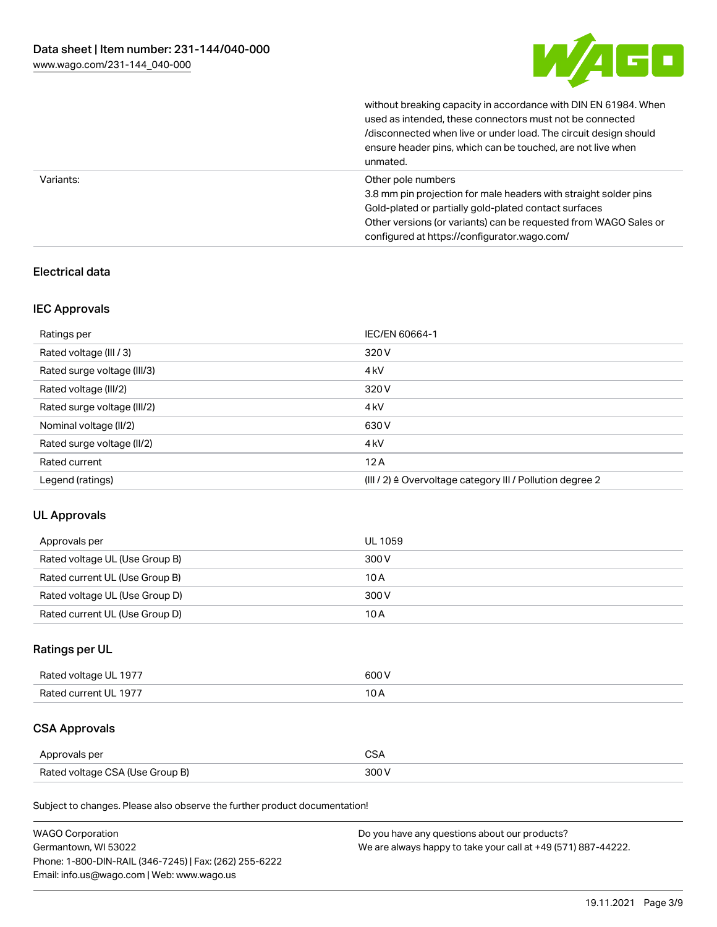

without breaking capacity in accordance with DIN EN 61984. When

|           | used as intended, these connectors must not be connected<br>/disconnected when live or under load. The circuit design should<br>ensure header pins, which can be touched, are not live when<br>unmated.                                                             |
|-----------|---------------------------------------------------------------------------------------------------------------------------------------------------------------------------------------------------------------------------------------------------------------------|
| Variants: | Other pole numbers<br>3.8 mm pin projection for male headers with straight solder pins<br>Gold-plated or partially gold-plated contact surfaces<br>Other versions (or variants) can be requested from WAGO Sales or<br>configured at https://configurator.wago.com/ |

## Electrical data

## IEC Approvals

| Ratings per                 | IEC/EN 60664-1                                                        |
|-----------------------------|-----------------------------------------------------------------------|
| Rated voltage (III / 3)     | 320 V                                                                 |
| Rated surge voltage (III/3) | 4 <sub>kV</sub>                                                       |
| Rated voltage (III/2)       | 320 V                                                                 |
| Rated surge voltage (III/2) | 4 <sub>k</sub> V                                                      |
| Nominal voltage (II/2)      | 630 V                                                                 |
| Rated surge voltage (II/2)  | 4 <sub>k</sub> V                                                      |
| Rated current               | 12A                                                                   |
| Legend (ratings)            | $(III / 2)$ $\triangle$ Overvoltage category III / Pollution degree 2 |

## UL Approvals

| Approvals per                  | UL 1059 |
|--------------------------------|---------|
| Rated voltage UL (Use Group B) | 300 V   |
| Rated current UL (Use Group B) | 10 A    |
| Rated voltage UL (Use Group D) | 300 V   |
| Rated current UL (Use Group D) | 10A     |

## Ratings per UL

| Rated voltage UL 1977 | 600 V |
|-----------------------|-------|
| Rated current UL 1977 |       |

## CSA Approvals

| Approvals per                   |  |
|---------------------------------|--|
| Rated voltage CSA (Use Group B) |  |

Subject to changes. Please also observe the further product documentation!

| <b>WAGO Corporation</b>                                | Do you have any questions about our products?                 |
|--------------------------------------------------------|---------------------------------------------------------------|
| Germantown, WI 53022                                   | We are always happy to take your call at +49 (571) 887-44222. |
| Phone: 1-800-DIN-RAIL (346-7245)   Fax: (262) 255-6222 |                                                               |
| Email: info.us@wago.com   Web: www.wago.us             |                                                               |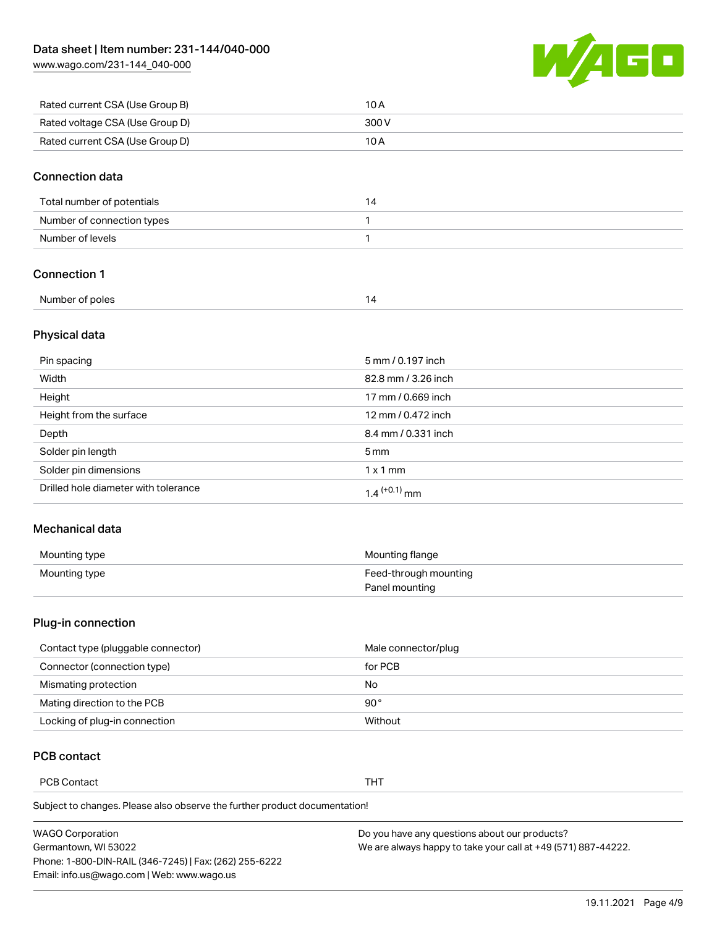[www.wago.com/231-144\\_040-000](http://www.wago.com/231-144_040-000)



| Rated current CSA (Use Group B) | 10 A  |
|---------------------------------|-------|
| Rated voltage CSA (Use Group D) | 300 V |
| Rated current CSA (Use Group D) | 10 A  |

#### Connection data

| Total number of potentials |  |
|----------------------------|--|
| Number of connection types |  |
| Number of levels           |  |

## Connection 1

| Number of poles |  |
|-----------------|--|
|                 |  |

## Physical data

| Pin spacing                          | 5 mm / 0.197 inch   |
|--------------------------------------|---------------------|
| Width                                | 82.8 mm / 3.26 inch |
| Height                               | 17 mm / 0.669 inch  |
| Height from the surface              | 12 mm / 0.472 inch  |
| Depth                                | 8.4 mm / 0.331 inch |
| Solder pin length                    | $5 \,\mathrm{mm}$   |
| Solder pin dimensions                | $1 \times 1$ mm     |
| Drilled hole diameter with tolerance | $1.4$ $(+0.1)$ mm   |

## Mechanical data

| Mounting type | Mounting flange       |
|---------------|-----------------------|
| Mounting type | Feed-through mounting |
|               | Panel mounting        |

## Plug-in connection

| Contact type (pluggable connector) | Male connector/plug |
|------------------------------------|---------------------|
| Connector (connection type)        | for PCB             |
| Mismating protection               | No                  |
| Mating direction to the PCB        | 90 $^{\circ}$       |
| Locking of plug-in connection      | Without             |

## PCB contact

PCB Contact THT

Subject to changes. Please also observe the further product documentation!

| <b>WAGO Corporation</b>                                | Do you have any questions about our products?                 |
|--------------------------------------------------------|---------------------------------------------------------------|
| Germantown, WI 53022                                   | We are always happy to take your call at +49 (571) 887-44222. |
| Phone: 1-800-DIN-RAIL (346-7245)   Fax: (262) 255-6222 |                                                               |
| Email: info.us@wago.com   Web: www.wago.us             |                                                               |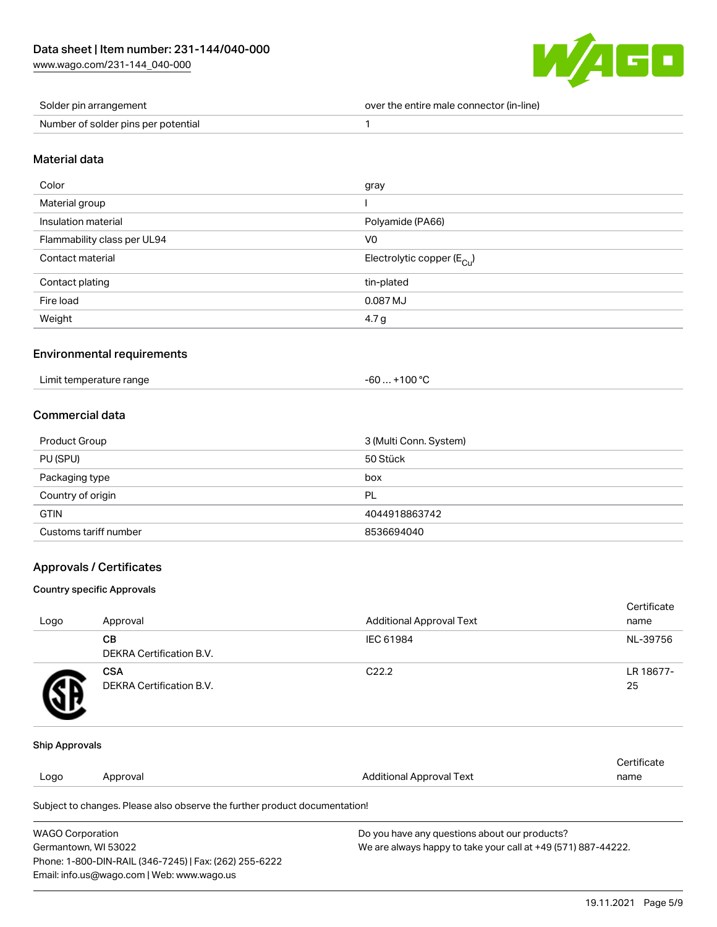[www.wago.com/231-144\\_040-000](http://www.wago.com/231-144_040-000)



| Solder pin arrangement              | over the entire male connector (in-line) |
|-------------------------------------|------------------------------------------|
| Number of solder pins per potential |                                          |

#### Material data

| Color                       | gray                                    |
|-----------------------------|-----------------------------------------|
| Material group              |                                         |
| Insulation material         | Polyamide (PA66)                        |
| Flammability class per UL94 | V <sub>0</sub>                          |
| Contact material            | Electrolytic copper ( $E_{\text{Cu}}$ ) |
| Contact plating             | tin-plated                              |
| Fire load                   | 0.087 MJ                                |
| Weight                      | 4.7 g                                   |

## Environmental requirements

| Limit temperature range | $-60+100 °C$ |
|-------------------------|--------------|
|-------------------------|--------------|

## Commercial data

| <b>Product Group</b>  | 3 (Multi Conn. System) |
|-----------------------|------------------------|
| PU (SPU)              | 50 Stück               |
| Packaging type        | box                    |
| Country of origin     | PL                     |
| <b>GTIN</b>           | 4044918863742          |
| Customs tariff number | 8536694040             |

## Approvals / Certificates

#### Country specific Approvals

| Logo | Approval                               | <b>Additional Approval Text</b> | Certificate<br>name |
|------|----------------------------------------|---------------------------------|---------------------|
|      | CВ<br><b>DEKRA Certification B.V.</b>  | IEC 61984                       | NL-39756            |
|      | <b>CSA</b><br>DEKRA Certification B.V. | C <sub>22.2</sub>               | LR 18677-<br>25     |

#### Ship Approvals

| Logo | Approval                                                                   | Additional Approval Text | Certificate<br>name |
|------|----------------------------------------------------------------------------|--------------------------|---------------------|
|      | Subject to changes. Please also observe the further product documentation! |                          |                     |

| <b>WAGO Corporation</b>                                | Do you have any questions about our products?                 |
|--------------------------------------------------------|---------------------------------------------------------------|
| Germantown, WI 53022                                   | We are always happy to take your call at +49 (571) 887-44222. |
| Phone: 1-800-DIN-RAIL (346-7245)   Fax: (262) 255-6222 |                                                               |
| Email: info.us@wago.com   Web: www.wago.us             |                                                               |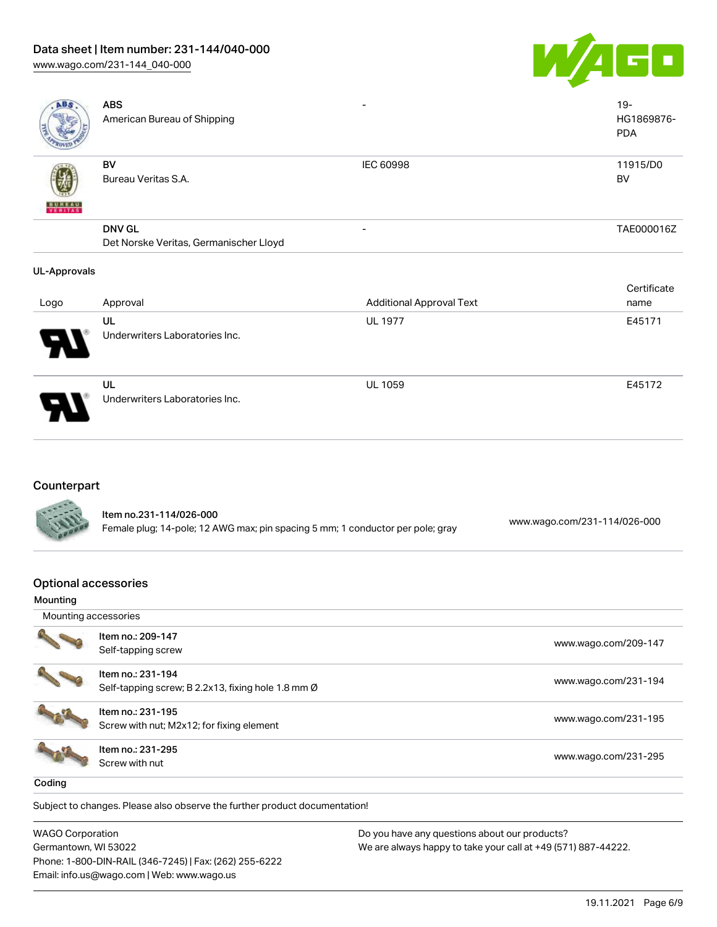## Data sheet | Item number: 231-144/040-000

[www.wago.com/231-144\\_040-000](http://www.wago.com/231-144_040-000)



| ABS                 | <b>ABS</b><br>American Bureau of Shipping | -                | $19 -$<br>HG1869876-<br><b>PDA</b> |
|---------------------|-------------------------------------------|------------------|------------------------------------|
| <b>BUREAU</b>       | BV<br>Bureau Veritas S.A.                 | <b>IEC 60998</b> | 11915/D0<br><b>BV</b>              |
|                     | <b>DNV GL</b>                             | -                | TAE000016Z                         |
|                     | Det Norske Veritas, Germanischer Lloyd    |                  |                                    |
| <b>UL-Approvals</b> |                                           |                  | Certificate                        |

|                       |                                      |                                 | <b>OUTLITIOUL</b> |
|-----------------------|--------------------------------------|---------------------------------|-------------------|
| Logo                  | Approval                             | <b>Additional Approval Text</b> | name              |
|                       | UL                                   | <b>UL 1977</b>                  | E45171            |
| $\boldsymbol{\theta}$ | Underwriters Laboratories Inc.       |                                 |                   |
| Ъ.                    | UL<br>Underwriters Laboratories Inc. | <b>UL 1059</b>                  | E45172            |
|                       |                                      |                                 |                   |

## Counterpart

|               | ltem no.231-114/026-000                                                        |                              |
|---------------|--------------------------------------------------------------------------------|------------------------------|
| <b>CALLES</b> | Female plug; 14-pole; 12 AWG max; pin spacing 5 mm; 1 conductor per pole; gray | www.wago.com/231-114/026-000 |

## Optional accessories

| Mounting             |                                                                         |                      |
|----------------------|-------------------------------------------------------------------------|----------------------|
| Mounting accessories |                                                                         |                      |
|                      | Item no.: 209-147<br>Self-tapping screw                                 | www.wago.com/209-147 |
|                      | Item no.: 231-194<br>Self-tapping screw; B 2.2x13, fixing hole 1.8 mm Ø | www.wago.com/231-194 |
|                      | Item no.: 231-195<br>Screw with nut; M2x12; for fixing element          | www.wago.com/231-195 |
|                      | Item no.: 231-295<br>Screw with nut                                     | www.wago.com/231-295 |
| Coding               |                                                                         |                      |

Subject to changes. Please also observe the further product documentation!

WAGO Corporation Germantown, WI 53022 Phone: 1-800-DIN-RAIL (346-7245) | Fax: (262) 255-6222 Email: info.us@wago.com | Web: www.wago.us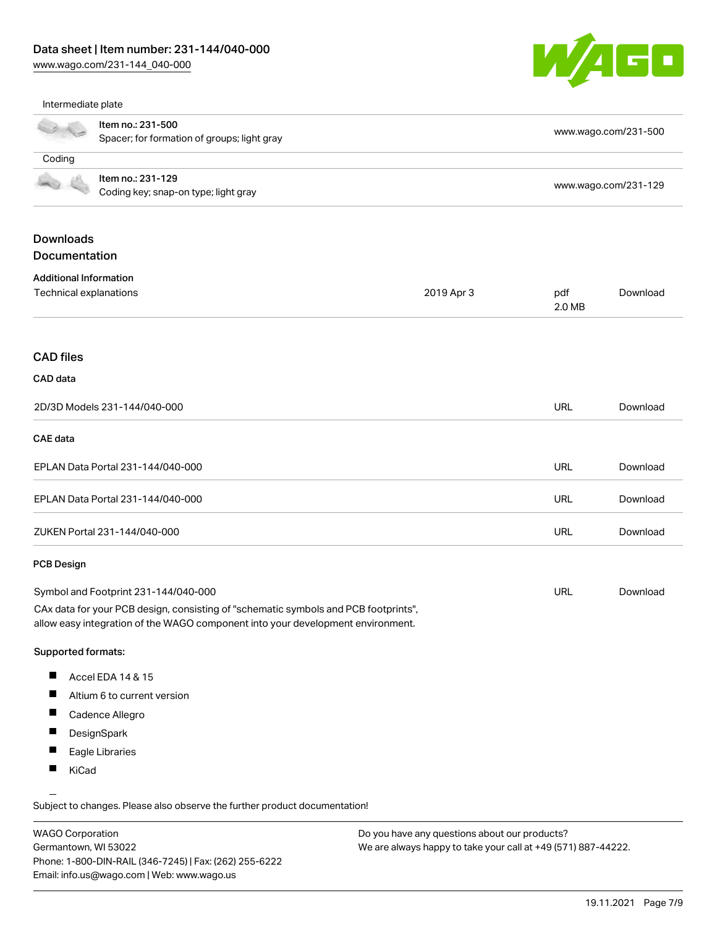Phone: 1-800-DIN-RAIL (346-7245) | Fax: (262) 255-6222

Email: info.us@wago.com | Web: www.wago.us

[www.wago.com/231-144\\_040-000](http://www.wago.com/231-144_040-000)



Intermediate plate

|                                                 | Item no.: 231-500<br>Spacer; for formation of groups; light gray                                                                                                       |            |                                                                                                                | www.wago.com/231-500 |  |
|-------------------------------------------------|------------------------------------------------------------------------------------------------------------------------------------------------------------------------|------------|----------------------------------------------------------------------------------------------------------------|----------------------|--|
| Coding                                          |                                                                                                                                                                        |            |                                                                                                                |                      |  |
|                                                 | Item no.: 231-129<br>Coding key; snap-on type; light gray                                                                                                              |            |                                                                                                                | www.wago.com/231-129 |  |
| <b>Downloads</b><br>Documentation               |                                                                                                                                                                        |            |                                                                                                                |                      |  |
| <b>Additional Information</b>                   |                                                                                                                                                                        |            |                                                                                                                |                      |  |
| Technical explanations                          |                                                                                                                                                                        | 2019 Apr 3 | pdf<br>2.0 MB                                                                                                  | Download             |  |
| <b>CAD files</b>                                |                                                                                                                                                                        |            |                                                                                                                |                      |  |
| CAD data                                        |                                                                                                                                                                        |            |                                                                                                                |                      |  |
|                                                 | 2D/3D Models 231-144/040-000                                                                                                                                           |            | <b>URL</b>                                                                                                     | Download             |  |
| <b>CAE</b> data                                 |                                                                                                                                                                        |            |                                                                                                                |                      |  |
| EPLAN Data Portal 231-144/040-000               |                                                                                                                                                                        |            | <b>URL</b>                                                                                                     | Download             |  |
|                                                 | EPLAN Data Portal 231-144/040-000                                                                                                                                      |            | URL                                                                                                            | Download             |  |
| ZUKEN Portal 231-144/040-000                    |                                                                                                                                                                        |            | <b>URL</b>                                                                                                     | Download             |  |
| <b>PCB Design</b>                               |                                                                                                                                                                        |            |                                                                                                                |                      |  |
| Symbol and Footprint 231-144/040-000            |                                                                                                                                                                        |            | URL                                                                                                            | Download             |  |
|                                                 | CAx data for your PCB design, consisting of "schematic symbols and PCB footprints",<br>allow easy integration of the WAGO component into your development environment. |            |                                                                                                                |                      |  |
| <b>Supported formats:</b>                       |                                                                                                                                                                        |            |                                                                                                                |                      |  |
| ш                                               | Accel EDA 14 & 15                                                                                                                                                      |            |                                                                                                                |                      |  |
|                                                 | Altium 6 to current version                                                                                                                                            |            |                                                                                                                |                      |  |
| п                                               | Cadence Allegro                                                                                                                                                        |            |                                                                                                                |                      |  |
|                                                 | DesignSpark                                                                                                                                                            |            |                                                                                                                |                      |  |
|                                                 | Eagle Libraries                                                                                                                                                        |            |                                                                                                                |                      |  |
| KiCad                                           |                                                                                                                                                                        |            |                                                                                                                |                      |  |
|                                                 | Subject to changes. Please also observe the further product documentation!                                                                                             |            |                                                                                                                |                      |  |
| <b>WAGO Corporation</b><br>Germantown, WI 53022 |                                                                                                                                                                        |            | Do you have any questions about our products?<br>We are always happy to take your call at +49 (571) 887-44222. |                      |  |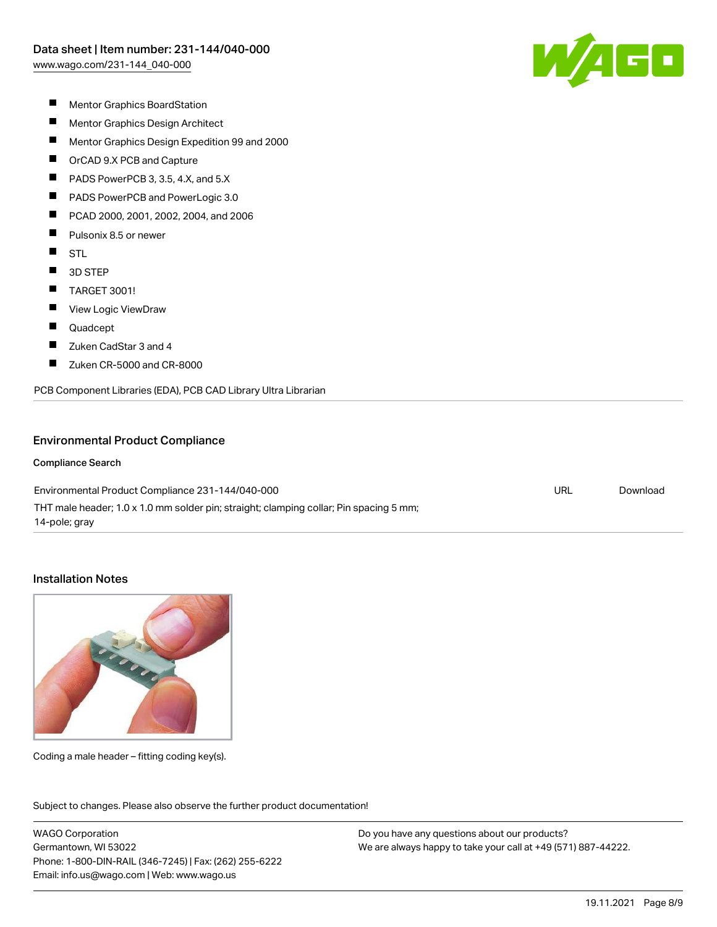$\sqrt{4}$  G  $\Box$ 

- $\blacksquare$ Mentor Graphics BoardStation
- $\blacksquare$ Mentor Graphics Design Architect
- $\blacksquare$ Mentor Graphics Design Expedition 99 and 2000
- $\blacksquare$ OrCAD 9.X PCB and Capture
- П PADS PowerPCB 3, 3.5, 4.X, and 5.X
- П PADS PowerPCB and PowerLogic 3.0
- П PCAD 2000, 2001, 2002, 2004, and 2006
- $\blacksquare$ Pulsonix 8.5 or newer
- $\blacksquare$ **STL**
- $\blacksquare$ 3D STEP
- $\blacksquare$ TARGET 3001!
- $\blacksquare$ View Logic ViewDraw
- $\blacksquare$ Quadcept
- $\blacksquare$ Zuken CadStar 3 and 4
- П Zuken CR-5000 and CR-8000

PCB Component Libraries (EDA), PCB CAD Library Ultra Librarian

#### Environmental Product Compliance

#### Compliance Search

Environmental Product Compliance 231-144/040-000 THT male header; 1.0 x 1.0 mm solder pin; straight; clamping collar; Pin spacing 5 mm; 14-pole; gray URL [Download](https://www.wago.com/global/d/ComplianceLinkMediaContainer_231-144_040-000)

## Installation Notes



Coding a male header – fitting coding key(s).

Subject to changes. Please also observe the further product documentation! Product family

WAGO Corporation Germantown, WI 53022 Phone: 1-800-DIN-RAIL (346-7245) | Fax: (262) 255-6222 Email: info.us@wago.com | Web: www.wago.us